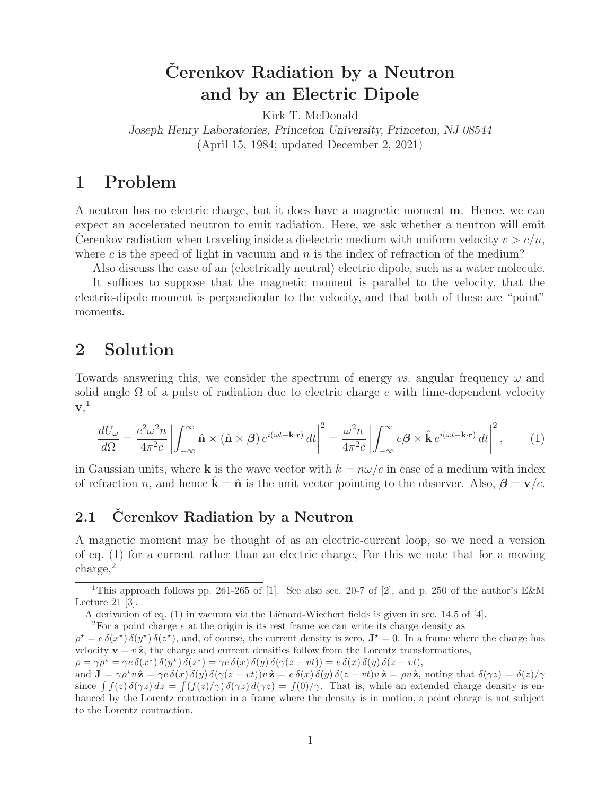# $\check{C}$ erenkov Radiation by a Neutron **and by an Electric Dipole**

Kirk T. McDonald

*Joseph Henry Laboratories, Princeton University, Princeton, NJ 08544* (April 15, 1984; updated December 2, 2021)

### **1 Problem**

A neutron has no electric charge, but it does have a magnetic moment **m**. Hence, we can expect an accelerated neutron to emit radiation. Here, we ask whether a neutron will emit Cerenkov radiation when traveling inside a dielectric medium with uniform velocity  $v > c/n$ , where c is the speed of light in vacuum and  $n$  is the index of refraction of the medium?

Also discuss the case of an (electrically neutral) electric dipole, such as a water molecule.

It suffices to suppose that the magnetic moment is parallel to the velocity, that the electric-dipole moment is perpendicular to the velocity, and that both of these are "point" moments.

### **2 Solution**

Towards answering this, we consider the spectrum of energy *vs.* angular frequency  $\omega$  and solid angle  $\Omega$  of a pulse of radiation due to electric charge e with time-dependent velocity  $\mathbf{v},^1$ 

$$
\frac{dU_{\omega}}{d\Omega} = \frac{e^2 \omega^2 n}{4\pi^2 c} \left| \int_{-\infty}^{\infty} \hat{\mathbf{n}} \times (\hat{\mathbf{n}} \times \boldsymbol{\beta}) e^{i(\omega t - \mathbf{k} \cdot \mathbf{r})} dt \right|^2 = \frac{\omega^2 n}{4\pi^2 c} \left| \int_{-\infty}^{\infty} e\boldsymbol{\beta} \times \hat{\mathbf{k}} e^{i(\omega t - \mathbf{k} \cdot \mathbf{r})} dt \right|^2, \tag{1}
$$

in Gaussian units, where **k** is the wave vector with  $k = n\omega/c$  in case of a medium with index of refraction *n*, and hence  $\mathbf{k} = \hat{\mathbf{n}}$  is the unit vector pointing to the observer. Also,  $\beta = \mathbf{v}/c$ .

### 2.1 **Cerenkov Radiation by a Neutron**

A magnetic moment may be thought of as an electric-current loop, so we need a version of eq. (1) for a current rather than an electric charge, For this we note that for a moving charge,<sup>2</sup>

 ${}^{2}$  For a point charge e at the origin is its rest frame we can write its charge density as

 $\rho^* = e \, \delta(x^*) \, \delta(y^*) \, \delta(z^*)$ , and, of course, the current density is zero,  $\mathbf{J}^* = 0$ . In a frame where the charge has velocity  $\mathbf{v} = v \hat{\mathbf{z}}$ , the charge and current densities follow from the Lorentz transformations,

 $\rho = \gamma \rho^{\star} = \gamma e \, \delta(x^{\star}) \, \delta(y^{\star}) \, \delta(z^{\star}) = \gamma e \, \delta(x) \, \delta(y) \, \delta(\gamma(z-vt)) = e \, \delta(x) \, \delta(y) \, \delta(z-vt),$ 

and  $\mathbf{J} = \gamma \rho^* v \hat{\mathbf{z}} = \gamma e \delta(x) \delta(y) \delta(\gamma(z - vt)) v \hat{\mathbf{z}} = e \delta(x) \delta(y) \delta(z - vt) v \hat{\mathbf{z}} = \rho v \hat{\mathbf{z}}$ , noting that  $\delta(\gamma z) = \delta(z)/\gamma$ since  $\int f(z) \, \delta(\gamma z) \, dz = \int (f(z)/\gamma) \, \delta(\gamma z) \, d(\gamma z) = f(0)/\gamma$ . That is, while an extended charge density is enhanced by the Lorentz contraction in a frame where the density is in motion, a point charge is not subject to the Lorentz contraction.

<sup>&</sup>lt;sup>1</sup>This approach follows pp. 261-265 of [1]. See also sec. 20-7 of [2], and p. 250 of the author's E&M Lecture 21 [3].

A derivation of eq.  $(1)$  in vacuum via the Lienard-Wiechert fields is given in sec. 14.5 of [4].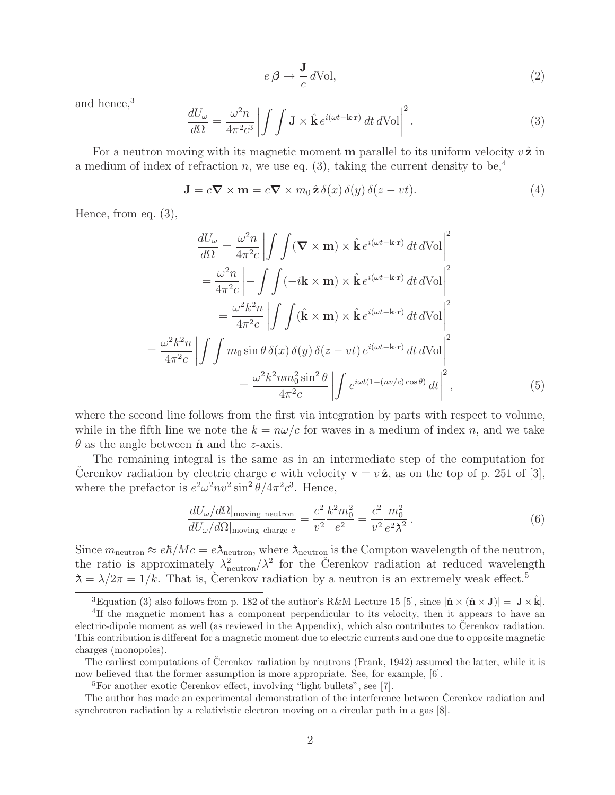$$
e \beta \to \frac{\mathbf{J}}{c} d\text{Vol},\tag{2}
$$

and hence,<sup>3</sup>

$$
\frac{dU_{\omega}}{d\Omega} = \frac{\omega^2 n}{4\pi^2 c^3} \left| \int \int \mathbf{J} \times \hat{\mathbf{k}} e^{i(\omega t - \mathbf{k} \cdot \mathbf{r})} dt d\text{Vol} \right|^2.
$$
 (3)

For a neutron moving with its magnetic moment **m** parallel to its uniform velocity  $v \hat{z}$  in a medium of index of refraction n, we use eq. (3), taking the current density to be,<sup>4</sup>

$$
\mathbf{J} = c\mathbf{\nabla} \times \mathbf{m} = c\mathbf{\nabla} \times m_0 \,\hat{\mathbf{z}} \,\delta(x) \,\delta(y) \,\delta(z - vt). \tag{4}
$$

Hence, from eq. (3),

$$
\frac{dU_{\omega}}{d\Omega} = \frac{\omega^2 n}{4\pi^2 c} \left| \int \int (\mathbf{\nabla} \times \mathbf{m}) \times \hat{\mathbf{k}} e^{i(\omega t - \mathbf{k} \cdot \mathbf{r})} dt d\text{Vol} \right|^2
$$
  
\n
$$
= \frac{\omega^2 n}{4\pi^2 c} \left| - \int \int (-i\mathbf{k} \times \mathbf{m}) \times \hat{\mathbf{k}} e^{i(\omega t - \mathbf{k} \cdot \mathbf{r})} dt d\text{Vol} \right|^2
$$
  
\n
$$
= \frac{\omega^2 k^2 n}{4\pi^2 c} \left| \int \int (\hat{\mathbf{k}} \times \mathbf{m}) \times \hat{\mathbf{k}} e^{i(\omega t - \mathbf{k} \cdot \mathbf{r})} dt d\text{Vol} \right|^2
$$
  
\n
$$
= \frac{\omega^2 k^2 n}{4\pi^2 c} \left| \int \int m_0 \sin \theta \, \delta(x) \, \delta(y) \, \delta(z - vt) e^{i(\omega t - \mathbf{k} \cdot \mathbf{r})} dt d\text{Vol} \right|^2
$$
  
\n
$$
= \frac{\omega^2 k^2 n m_0^2 \sin^2 \theta}{4\pi^2 c} \left| \int e^{i\omega t (1 - (nv/c) \cos \theta)} dt \right|^2,
$$
 (5)

where the second line follows from the first via integration by parts with respect to volume, while in the fifth line we note the  $k = n\omega/c$  for waves in a medium of index n, and we take  $\theta$  as the angle between  $\hat{\mathbf{n}}$  and the *z*-axis.

The remaining integral is the same as in an intermediate step of the computation for Cerenkov radiation by electric charge e with velocity  $\mathbf{v} = v \hat{\mathbf{z}}$ , as on the top of p. 251 of [3], where the prefactor is  $e^2 \omega^2 n v^2 \sin^2 \theta / 4 \pi^2 c^3$ . Hence,

$$
\frac{dU_{\omega}/d\Omega|_{\text{moving neutron}}}{dU_{\omega}/d\Omega|_{\text{moving charge }e}} = \frac{c^2}{v^2} \frac{k^2 m_0^2}{e^2} = \frac{c^2}{v^2} \frac{m_0^2}{e^2 \lambda^2}.
$$
\n(6)

Since  $m_{\text{neutron}} \approx e\hbar/Mc = e\lambda_{\text{neutron}}$ , where  $\lambda_{\text{neutron}}$  is the Compton wavelength of the neutron, the ratio is approximately  $\lambda_{\text{neutron}}^2/\lambda^2$  for the Cerenkov radiation at reduced wavelength  $\lambda = \lambda/2\pi = 1/k$ . That is, Čerenkov radiation by a neutron is an extremely weak effect.<sup>5</sup>

<sup>&</sup>lt;sup>3</sup>Equation (3) also follows from p. 182 of the author's R&M Lecture 15 [5], since  $|\hat{\mathbf{n}} \times (\hat{\mathbf{n}} \times \mathbf{J})| = |\mathbf{J} \times \hat{\mathbf{k}}|$ .<br><sup>4</sup>If the magnetic moment has a component perpendicular to its velocity, then it appears to

electric-dipole moment as well (as reviewed in the Appendix), which also contributes to Cerenkov radiation. This contribution is different for a magnetic moment due to electric currents and one due to opposite magnetic charges (monopoles).

The earliest computations of Čerenkov radiation by neutrons (Frank, 1942) assumed the latter, while it is now believed that the former assumption is more appropriate. See, for example, [6].

 ${}^{5}$ For another exotic Čerenkov effect, involving "light bullets", see [7].

The author has made an experimental demonstration of the interference between Cerenkov radiation and synchrotron radiation by a relativistic electron moving on a circular path in a gas [8].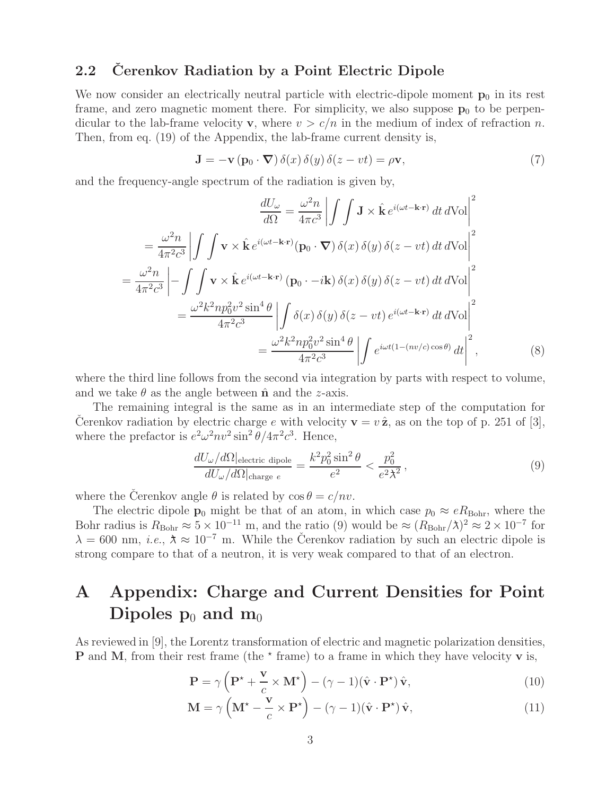#### **2.2 Cerenkov Radiation by a Point Electric Dipole**

We now consider an electrically neutral particle with electric-dipole moment  $\mathbf{p}_0$  in its rest frame, and zero magnetic moment there. For simplicity, we also suppose  $p_0$  to be perpendicular to the lab-frame velocity **v**, where  $v > c/n$  in the medium of index of refraction n. Then, from eq. (19) of the Appendix, the lab-frame current density is,

$$
\mathbf{J} = -\mathbf{v} \left( \mathbf{p}_0 \cdot \mathbf{\nabla} \right) \delta(x) \delta(y) \delta(z - vt) = \rho \mathbf{v},\tag{7}
$$

and the frequency-angle spectrum of the radiation is given by,

$$
\frac{dU_{\omega}}{d\Omega} = \frac{\omega^2 n}{4\pi c^3} \left| \int \int \mathbf{J} \times \hat{\mathbf{k}} e^{i(\omega t - \mathbf{k} \cdot \mathbf{r})} dt d\text{Vol} \right|^2
$$

$$
= \frac{\omega^2 n}{4\pi^2 c^3} \left| \int \int \mathbf{v} \times \hat{\mathbf{k}} e^{i(\omega t - \mathbf{k} \cdot \mathbf{r})} (\mathbf{p}_0 \cdot \nabla) \delta(x) \delta(y) \delta(z - vt) dt d\text{Vol} \right|^2
$$

$$
= \frac{\omega^2 n}{4\pi^2 c^3} \left| - \int \int \mathbf{v} \times \hat{\mathbf{k}} e^{i(\omega t - \mathbf{k} \cdot \mathbf{r})} (\mathbf{p}_0 \cdot -i\mathbf{k}) \delta(x) \delta(y) \delta(z - vt) dt d\text{Vol} \right|^2
$$

$$
= \frac{\omega^2 k^2 n p_0^2 v^2 \sin^4 \theta}{4\pi^2 c^3} \left| \int \delta(x) \delta(y) \delta(z - vt) e^{i(\omega t - \mathbf{k} \cdot \mathbf{r})} dt d\text{Vol} \right|^2
$$

$$
= \frac{\omega^2 k^2 n p_0^2 v^2 \sin^4 \theta}{4\pi^2 c^3} \left| \int e^{i\omega t (1 - (nv/c) \cos \theta)} dt \right|^2,
$$
(8)

where the third line follows from the second via integration by parts with respect to volume, and we take  $\theta$  as the angle between  $\hat{\mathbf{n}}$  and the *z*-axis.

The remaining integral is the same as in an intermediate step of the computation for Cerenkov radiation by electric charge e with velocity  $\mathbf{v} = v \hat{\mathbf{z}}$ , as on the top of p. 251 of [3], where the prefactor is  $e^2 \omega^2 n v^2 \sin^2 \theta / 4\pi^2 c^3$ . Hence,

$$
\frac{dU_{\omega}/d\Omega|_{\text{electric dipole}}}{dU_{\omega}/d\Omega|_{\text{charge }e}} = \frac{k^2 p_0^2 \sin^2 \theta}{e^2} < \frac{p_0^2}{e^2 \lambda^2},\tag{9}
$$

where the Cerenkov angle  $\theta$  is related by  $\cos \theta = c/nv$ .

The electric dipole **p**<sub>0</sub> might be that of an atom, in which case  $p_0 \approx eR_{\text{Bohr}}$ , where the Bohr radius is  $R_{\text{Bohr}} \approx 5 \times 10^{-11}$  m, and the ratio (9) would be  $\approx (R_{\text{Bohr}}/\lambda)^2 \approx 2 \times 10^{-7}$  for  $\lambda = 600$  nm, *i.e.*,  $\lambda \approx 10^{-7}$  m. While the Cerenkov radiation by such an electric dipole is strong compare to that of a neutron, it is very weak compared to that of an electron.

## **A Appendix: Charge and Current Densities for Point Dipoles**  $p_0$  **and**  $m_0$

As reviewed in [9], the Lorentz transformation of electric and magnetic polarization densities, **P** and **M**, from their rest frame (the  $\star$  frame) to a frame in which they have velocity **v** is,

$$
\mathbf{P} = \gamma \left( \mathbf{P}^{\star} + \frac{\mathbf{v}}{c} \times \mathbf{M}^{\star} \right) - (\gamma - 1)(\hat{\mathbf{v}} \cdot \mathbf{P}^{\star}) \hat{\mathbf{v}}, \tag{10}
$$

$$
\mathbf{M} = \gamma \left( \mathbf{M}^{\star} - \frac{\mathbf{v}}{c} \times \mathbf{P}^{\star} \right) - (\gamma - 1)(\hat{\mathbf{v}} \cdot \mathbf{P}^{\star}) \hat{\mathbf{v}}, \tag{11}
$$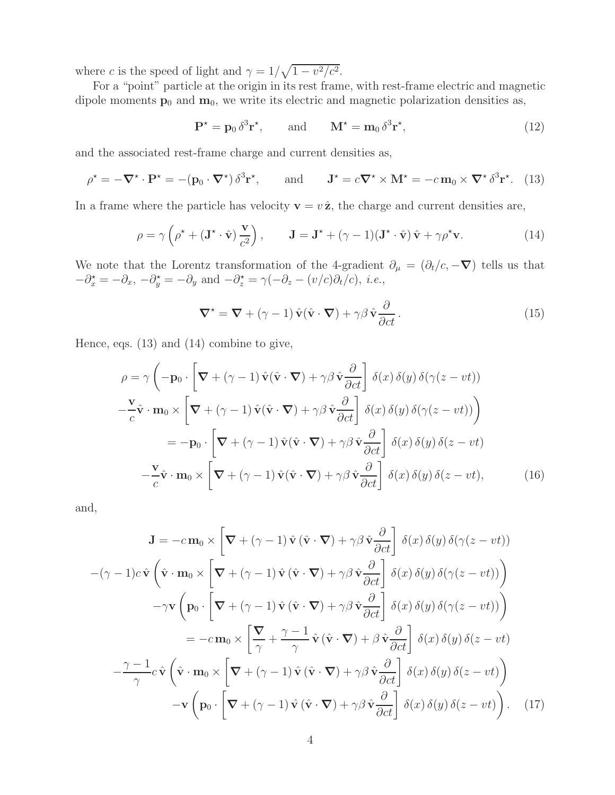where c is the speed of light and  $\gamma = 1/\sqrt{1 - v^2/c^2}$ .

For a "point" particle at the origin in its rest frame, with rest-frame electric and magnetic dipole moments  $\mathbf{p}_0$  and  $\mathbf{m}_0$ , we write its electric and magnetic polarization densities as,

$$
\mathbf{P}^{\star} = \mathbf{p}_0 \, \delta^3 \mathbf{r}^{\star}, \qquad \text{and} \qquad \mathbf{M}^{\star} = \mathbf{m}_0 \, \delta^3 \mathbf{r}^{\star}, \tag{12}
$$

and the associated rest-frame charge and current densities as,

$$
\rho^* = -\nabla^* \cdot \mathbf{P}^* = -(\mathbf{p}_0 \cdot \nabla^*) \delta^3 \mathbf{r}^*, \quad \text{and} \quad \mathbf{J}^* = c \nabla^* \times \mathbf{M}^* = -c \mathbf{m}_0 \times \nabla^* \delta^3 \mathbf{r}^*.
$$
 (13)

In a frame where the particle has velocity  $\mathbf{v} = v \hat{\mathbf{z}}$ , the charge and current densities are,

$$
\rho = \gamma \left( \rho^* + (\mathbf{J}^* \cdot \hat{\mathbf{v}}) \frac{\mathbf{v}}{c^2} \right), \qquad \mathbf{J} = \mathbf{J}^* + (\gamma - 1)(\mathbf{J}^* \cdot \hat{\mathbf{v}}) \hat{\mathbf{v}} + \gamma \rho^* \mathbf{v}.
$$
 (14)

We note that the Lorentz transformation of the 4-gradient  $\partial_{\mu} = (\partial_t/c, -\nabla)$  tells us that  $-\partial_x^* = -\partial_x, -\partial_y^* = -\partial_y$  and  $-\partial_z^* = \gamma(-\partial_z - (v/c)\partial_t/c), i.e.,$ 

$$
\nabla^* = \nabla + (\gamma - 1) \hat{\mathbf{v}} (\hat{\mathbf{v}} \cdot \nabla) + \gamma \beta \hat{\mathbf{v}} \frac{\partial}{\partial ct}.
$$
 (15)

Hence, eqs. (13) and (14) combine to give,

$$
\rho = \gamma \left( -\mathbf{p}_0 \cdot \left[ \nabla + (\gamma - 1) \hat{\mathbf{v}} (\hat{\mathbf{v}} \cdot \nabla) + \gamma \beta \hat{\mathbf{v}} \frac{\partial}{\partial ct} \right] \delta(x) \delta(y) \delta(\gamma(z - vt)) \right)
$$

$$
-\frac{\mathbf{v}}{c} \hat{\mathbf{v}} \cdot \mathbf{m}_0 \times \left[ \nabla + (\gamma - 1) \hat{\mathbf{v}} (\hat{\mathbf{v}} \cdot \nabla) + \gamma \beta \hat{\mathbf{v}} \frac{\partial}{\partial ct} \right] \delta(x) \delta(y) \delta(\gamma(z - vt)) \right)
$$

$$
= -\mathbf{p}_0 \cdot \left[ \nabla + (\gamma - 1) \hat{\mathbf{v}} (\hat{\mathbf{v}} \cdot \nabla) + \gamma \beta \hat{\mathbf{v}} \frac{\partial}{\partial ct} \right] \delta(x) \delta(y) \delta(z - vt)
$$

$$
-\frac{\mathbf{v}}{c} \hat{\mathbf{v}} \cdot \mathbf{m}_0 \times \left[ \nabla + (\gamma - 1) \hat{\mathbf{v}} (\hat{\mathbf{v}} \cdot \nabla) + \gamma \beta \hat{\mathbf{v}} \frac{\partial}{\partial ct} \right] \delta(x) \delta(y) \delta(z - vt), \tag{16}
$$

and,

$$
\mathbf{J} = -c \mathbf{m}_0 \times \left[ \nabla + (\gamma - 1) \hat{\mathbf{v}} \left( \hat{\mathbf{v}} \cdot \nabla \right) + \gamma \beta \hat{\mathbf{v}} \frac{\partial}{\partial ct} \right] \delta(x) \delta(y) \delta(\gamma(z - vt))
$$

$$
-(\gamma - 1)c \hat{\mathbf{v}} \left( \hat{\mathbf{v}} \cdot \mathbf{m}_0 \times \left[ \nabla + (\gamma - 1) \hat{\mathbf{v}} \left( \hat{\mathbf{v}} \cdot \nabla \right) + \gamma \beta \hat{\mathbf{v}} \frac{\partial}{\partial ct} \right] \delta(x) \delta(y) \delta(\gamma(z - vt)) \right)
$$

$$
-\gamma \mathbf{v} \left( \mathbf{p}_0 \cdot \left[ \nabla + (\gamma - 1) \hat{\mathbf{v}} \left( \hat{\mathbf{v}} \cdot \nabla \right) + \gamma \beta \hat{\mathbf{v}} \frac{\partial}{\partial ct} \right] \delta(x) \delta(y) \delta(\gamma(z - vt)) \right)
$$

$$
= -c \mathbf{m}_0 \times \left[ \nabla + (\gamma - 1) \hat{\mathbf{v}} \left( \hat{\mathbf{v}} \cdot \nabla \right) + \beta \hat{\mathbf{v}} \frac{\partial}{\partial ct} \right] \delta(x) \delta(y) \delta(z - vt)
$$

$$
-\frac{\gamma - 1}{\gamma} c \hat{\mathbf{v}} \left( \hat{\mathbf{v}} \cdot \mathbf{m}_0 \times \left[ \nabla + (\gamma - 1) \hat{\mathbf{v}} \left( \hat{\mathbf{v}} \cdot \nabla \right) + \gamma \beta \hat{\mathbf{v}} \frac{\partial}{\partial ct} \right] \delta(x) \delta(y) \delta(z - vt) \right)
$$

$$
-\mathbf{v} \left( \mathbf{p}_0 \cdot \left[ \nabla + (\gamma - 1) \hat{\mathbf{v}} \left( \hat{\mathbf{v}} \cdot \nabla \right) + \gamma \beta \hat{\mathbf{v}} \frac{\partial}{\partial ct} \right] \delta(x) \delta(y) \delta(z - vt) \right). \tag{17}
$$